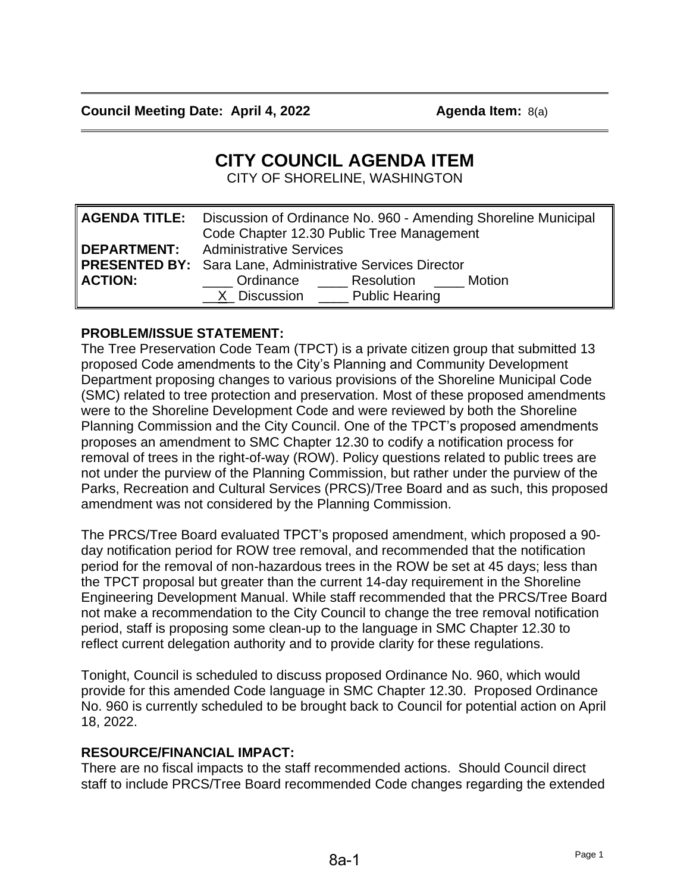# **CITY COUNCIL AGENDA ITEM**

CITY OF SHORELINE, WASHINGTON

|                | <b>AGENDA TITLE:</b> Discussion of Ordinance No. 960 - Amending Shoreline Municipal<br>Code Chapter 12.30 Public Tree Management |
|----------------|----------------------------------------------------------------------------------------------------------------------------------|
|                | <b>DEPARTMENT:</b> Administrative Services<br><b>PRESENTED BY:</b> Sara Lane, Administrative Services Director                   |
| <b>ACTION:</b> | <b>Ordinance</b> Resolution Motion<br>X Discussion Public Hearing                                                                |

## **PROBLEM/ISSUE STATEMENT:**

The Tree Preservation Code Team (TPCT) is a private citizen group that submitted 13 proposed Code amendments to the City's Planning and Community Development Department proposing changes to various provisions of the Shoreline Municipal Code (SMC) related to tree protection and preservation. Most of these proposed amendments were to the Shoreline Development Code and were reviewed by both the Shoreline Planning Commission and the City Council. One of the TPCT's proposed amendments proposes an amendment to SMC Chapter 12.30 to codify a notification process for removal of trees in the right-of-way (ROW). Policy questions related to public trees are not under the purview of the Planning Commission, but rather under the purview of the Parks, Recreation and Cultural Services (PRCS)/Tree Board and as such, this proposed amendment was not considered by the Planning Commission.

The PRCS/Tree Board evaluated TPCT's proposed amendment, which proposed a 90 day notification period for ROW tree removal, and recommended that the notification period for the removal of non-hazardous trees in the ROW be set at 45 days; less than the TPCT proposal but greater than the current 14-day requirement in the Shoreline Engineering Development Manual. While staff recommended that the PRCS/Tree Board not make a recommendation to the City Council to change the tree removal notification period, staff is proposing some clean-up to the language in SMC Chapter 12.30 to reflect current delegation authority and to provide clarity for these regulations.

Tonight, Council is scheduled to discuss proposed Ordinance No. 960, which would provide for this amended Code language in SMC Chapter 12.30. Proposed Ordinance No. 960 is currently scheduled to be brought back to Council for potential action on April 18, 2022.

## **RESOURCE/FINANCIAL IMPACT:**

There are no fiscal impacts to the staff recommended actions. Should Council direct staff to include PRCS/Tree Board recommended Code changes regarding the extended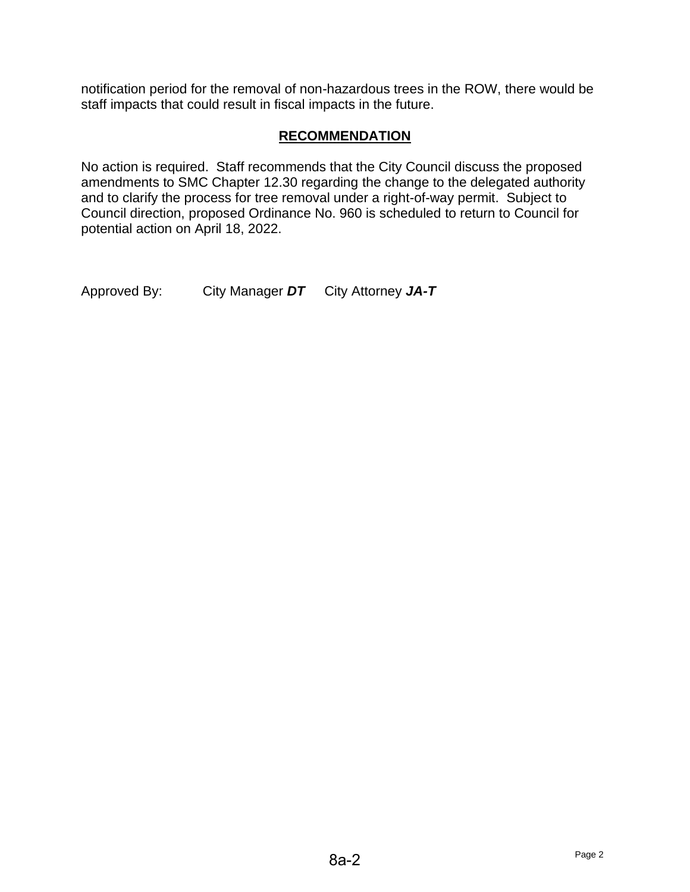notification period for the removal of non-hazardous trees in the ROW, there would be staff impacts that could result in fiscal impacts in the future.

## **RECOMMENDATION**

No action is required. Staff recommends that the City Council discuss the proposed amendments to SMC Chapter 12.30 regarding the change to the delegated authority and to clarify the process for tree removal under a right-of-way permit. Subject to Council direction, proposed Ordinance No. 960 is scheduled to return to Council for potential action on April 18, 2022.

Approved By: City Manager *DT* City Attorney *JA-T*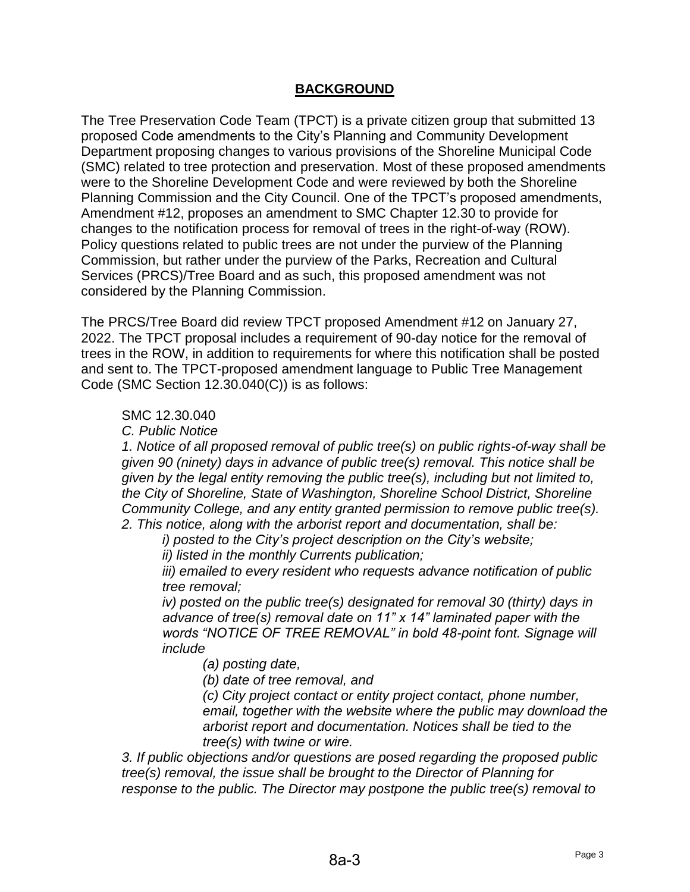## **BACKGROUND**

The Tree Preservation Code Team (TPCT) is a private citizen group that submitted 13 proposed Code amendments to the City's Planning and Community Development Department proposing changes to various provisions of the Shoreline Municipal Code (SMC) related to tree protection and preservation. Most of these proposed amendments were to the Shoreline Development Code and were reviewed by both the Shoreline Planning Commission and the City Council. One of the TPCT's proposed amendments, Amendment #12, proposes an amendment to SMC Chapter 12.30 to provide for changes to the notification process for removal of trees in the right-of-way (ROW). Policy questions related to public trees are not under the purview of the Planning Commission, but rather under the purview of the Parks, Recreation and Cultural Services (PRCS)/Tree Board and as such, this proposed amendment was not considered by the Planning Commission.

The PRCS/Tree Board did review TPCT proposed Amendment #12 on January 27, 2022. The TPCT proposal includes a requirement of 90-day notice for the removal of trees in the ROW, in addition to requirements for where this notification shall be posted and sent to. The TPCT-proposed amendment language to Public Tree Management Code (SMC Section 12.30.040(C)) is as follows:

#### SMC 12.30.040

*C. Public Notice*

*1. Notice of all proposed removal of public tree(s) on public rights-of-way shall be given 90 (ninety) days in advance of public tree(s) removal. This notice shall be given by the legal entity removing the public tree(s), including but not limited to, the City of Shoreline, State of Washington, Shoreline School District, Shoreline Community College, and any entity granted permission to remove public tree(s). 2. This notice, along with the arborist report and documentation, shall be:*

*i) posted to the City's project description on the City's website; ii) listed in the monthly Currents publication;*

*iii) emailed to every resident who requests advance notification of public tree removal;*

*iv) posted on the public tree(s) designated for removal 30 (thirty) days in advance of tree(s) removal date on 11" x 14" laminated paper with the words "NOTICE OF TREE REMOVAL" in bold 48-point font. Signage will include*

*(a) posting date,*

*(b) date of tree removal, and* 

*(c) City project contact or entity project contact, phone number, email, together with the website where the public may download the arborist report and documentation. Notices shall be tied to the tree(s) with twine or wire.*

*3. If public objections and/or questions are posed regarding the proposed public tree(s) removal, the issue shall be brought to the Director of Planning for response to the public. The Director may postpone the public tree(s) removal to*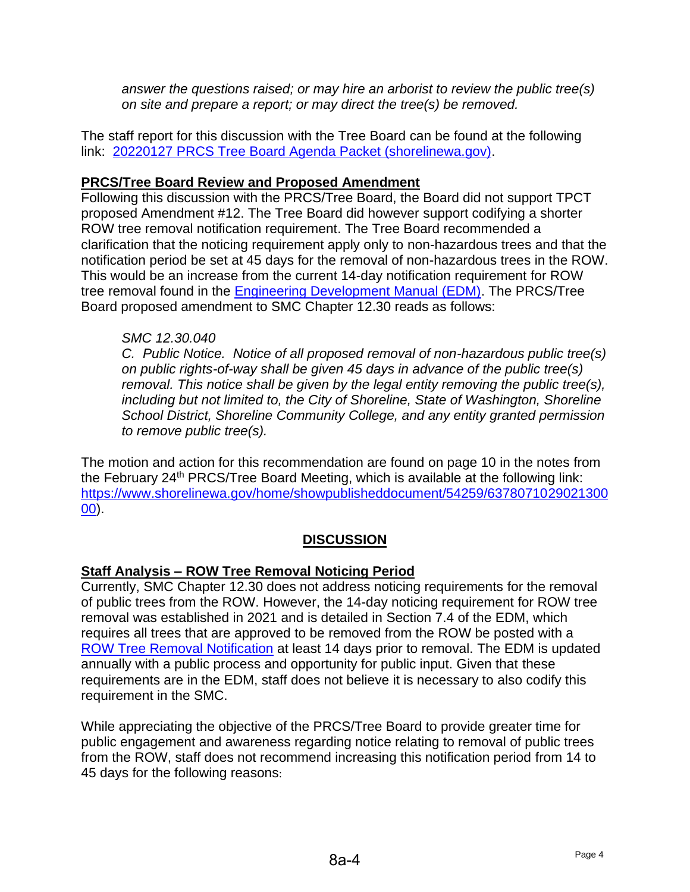*answer the questions raised; or may hire an arborist to review the public tree(s) on site and prepare a report; or may direct the tree(s) be removed.*

The staff report for this discussion with the Tree Board can be found at the following link: [20220127 PRCS Tree Board Agenda Packet \(shorelinewa.gov\).](https://www.shorelinewa.gov/home/showpublisheddocument/53965/637783719249970000)

## **PRCS/Tree Board Review and Proposed Amendment**

Following this discussion with the PRCS/Tree Board, the Board did not support TPCT proposed Amendment #12. The Tree Board did however support codifying a shorter ROW tree removal notification requirement. The Tree Board recommended a clarification that the noticing requirement apply only to non-hazardous trees and that the notification period be set at 45 days for the removal of non-hazardous trees in the ROW. This would be an increase from the current 14-day notification requirement for ROW tree removal found in the [Engineering Development Manual \(EDM\).](https://www.shorelinewa.gov/home/showpublisheddocument/54235/637805164850870000) The PRCS/Tree Board proposed amendment to SMC Chapter 12.30 reads as follows:

## *SMC 12.30.040*

*C. Public Notice. Notice of all proposed removal of non-hazardous public tree(s) on public rights-of-way shall be given 45 days in advance of the public tree(s) removal. This notice shall be given by the legal entity removing the public tree(s), including but not limited to, the City of Shoreline, State of Washington, Shoreline School District, Shoreline Community College, and any entity granted permission to remove public tree(s).*

The motion and action for this recommendation are found on page 10 in the notes from the February 24<sup>th</sup> PRCS/Tree Board Meeting, which is available at the following link: [https://www.shorelinewa.gov/home/showpublisheddocument/54259/6378071029021300](https://www.shorelinewa.gov/home/showpublisheddocument/54259/637807102902130000) [00\)](https://www.shorelinewa.gov/home/showpublisheddocument/54259/637807102902130000).

## **DISCUSSION**

## **Staff Analysis – ROW Tree Removal Noticing Period**

Currently, SMC Chapter 12.30 does not address noticing requirements for the removal of public trees from the ROW. However, the 14-day noticing requirement for ROW tree removal was established in 2021 and is detailed in Section 7.4 of the EDM, which requires all trees that are approved to be removed from the ROW be posted with a ROW [Tree Removal Notification](https://www.shorelinewa.gov/home/showpublisheddocument/50742/637474162775800000) at least 14 days prior to removal. The EDM is updated annually with a public process and opportunity for public input. Given that these requirements are in the EDM, staff does not believe it is necessary to also codify this requirement in the SMC.

While appreciating the objective of the PRCS/Tree Board to provide greater time for public engagement and awareness regarding notice relating to removal of public trees from the ROW, staff does not recommend increasing this notification period from 14 to 45 days for the following reasons: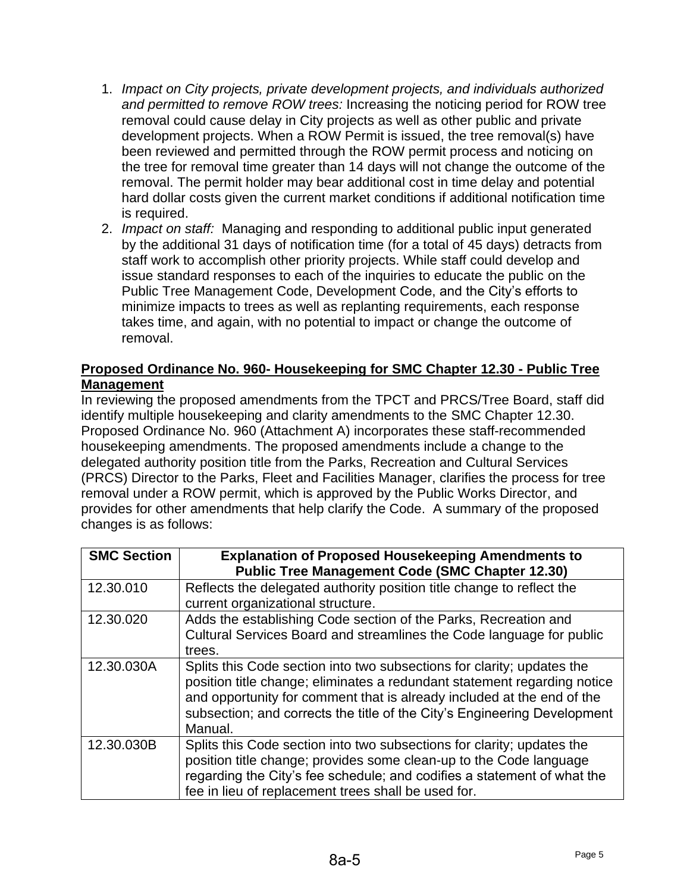- 1. *Impact on City projects, private development projects, and individuals authorized and permitted to remove ROW trees:* Increasing the noticing period for ROW tree removal could cause delay in City projects as well as other public and private development projects. When a ROW Permit is issued, the tree removal(s) have been reviewed and permitted through the ROW permit process and noticing on the tree for removal time greater than 14 days will not change the outcome of the removal. The permit holder may bear additional cost in time delay and potential hard dollar costs given the current market conditions if additional notification time is required.
- 2. *Impact on staff:* Managing and responding to additional public input generated by the additional 31 days of notification time (for a total of 45 days) detracts from staff work to accomplish other priority projects. While staff could develop and issue standard responses to each of the inquiries to educate the public on the Public Tree Management Code, Development Code, and the City's efforts to minimize impacts to trees as well as replanting requirements, each response takes time, and again, with no potential to impact or change the outcome of removal.

## **Proposed Ordinance No. 960- Housekeeping for SMC Chapter 12.30 - Public Tree Management**

In reviewing the proposed amendments from the TPCT and PRCS/Tree Board, staff did identify multiple housekeeping and clarity amendments to the SMC Chapter 12.30. Proposed Ordinance No. 960 (Attachment A) incorporates these staff-recommended housekeeping amendments. The proposed amendments include a change to the delegated authority position title from the Parks, Recreation and Cultural Services (PRCS) Director to the Parks, Fleet and Facilities Manager, clarifies the process for tree removal under a ROW permit, which is approved by the Public Works Director, and provides for other amendments that help clarify the Code. A summary of the proposed changes is as follows:

| <b>SMC Section</b> | <b>Explanation of Proposed Housekeeping Amendments to</b><br><b>Public Tree Management Code (SMC Chapter 12.30)</b> |
|--------------------|---------------------------------------------------------------------------------------------------------------------|
| 12.30.010          | Reflects the delegated authority position title change to reflect the                                               |
|                    | current organizational structure.                                                                                   |
| 12.30.020          | Adds the establishing Code section of the Parks, Recreation and                                                     |
|                    | Cultural Services Board and streamlines the Code language for public                                                |
|                    | trees.                                                                                                              |
| 12.30.030A         | Splits this Code section into two subsections for clarity; updates the                                              |
|                    | position title change; eliminates a redundant statement regarding notice                                            |
|                    | and opportunity for comment that is already included at the end of the                                              |
|                    | subsection; and corrects the title of the City's Engineering Development                                            |
|                    | Manual.                                                                                                             |
| 12.30.030B         | Splits this Code section into two subsections for clarity; updates the                                              |
|                    | position title change; provides some clean-up to the Code language                                                  |
|                    | regarding the City's fee schedule; and codifies a statement of what the                                             |
|                    | fee in lieu of replacement trees shall be used for.                                                                 |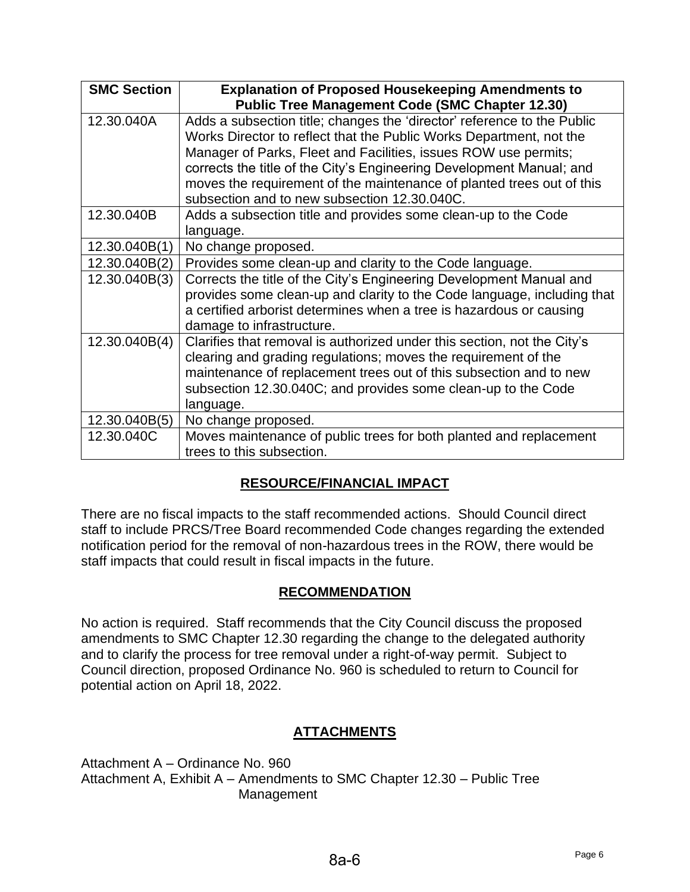| <b>SMC Section</b> | <b>Explanation of Proposed Housekeeping Amendments to</b><br><b>Public Tree Management Code (SMC Chapter 12.30)</b>                                                                                                                                                                                                                                                                                                |
|--------------------|--------------------------------------------------------------------------------------------------------------------------------------------------------------------------------------------------------------------------------------------------------------------------------------------------------------------------------------------------------------------------------------------------------------------|
| 12.30.040A         | Adds a subsection title; changes the 'director' reference to the Public<br>Works Director to reflect that the Public Works Department, not the<br>Manager of Parks, Fleet and Facilities, issues ROW use permits;<br>corrects the title of the City's Engineering Development Manual; and<br>moves the requirement of the maintenance of planted trees out of this<br>subsection and to new subsection 12,30,040C. |
| 12.30.040B         | Adds a subsection title and provides some clean-up to the Code<br>language.                                                                                                                                                                                                                                                                                                                                        |
| 12.30.040B(1)      | No change proposed.                                                                                                                                                                                                                                                                                                                                                                                                |
| 12.30.040B(2)      | Provides some clean-up and clarity to the Code language.                                                                                                                                                                                                                                                                                                                                                           |
| 12.30.040B(3)      | Corrects the title of the City's Engineering Development Manual and<br>provides some clean-up and clarity to the Code language, including that<br>a certified arborist determines when a tree is hazardous or causing<br>damage to infrastructure.                                                                                                                                                                 |
| 12.30.040B(4)      | Clarifies that removal is authorized under this section, not the City's<br>clearing and grading regulations; moves the requirement of the<br>maintenance of replacement trees out of this subsection and to new<br>subsection 12.30.040C; and provides some clean-up to the Code<br>language.                                                                                                                      |
| 12.30.040B(5)      | No change proposed.                                                                                                                                                                                                                                                                                                                                                                                                |
| 12.30.040C         | Moves maintenance of public trees for both planted and replacement<br>trees to this subsection.                                                                                                                                                                                                                                                                                                                    |

## **RESOURCE/FINANCIAL IMPACT**

There are no fiscal impacts to the staff recommended actions. Should Council direct staff to include PRCS/Tree Board recommended Code changes regarding the extended notification period for the removal of non-hazardous trees in the ROW, there would be staff impacts that could result in fiscal impacts in the future.

## **RECOMMENDATION**

No action is required. Staff recommends that the City Council discuss the proposed amendments to SMC Chapter 12.30 regarding the change to the delegated authority and to clarify the process for tree removal under a right-of-way permit. Subject to Council direction, proposed Ordinance No. 960 is scheduled to return to Council for potential action on April 18, 2022.

## **ATTACHMENTS**

Attachment A – Ordinance No. 960 Attachment A, Exhibit A – Amendments to SMC Chapter 12.30 – Public Tree Management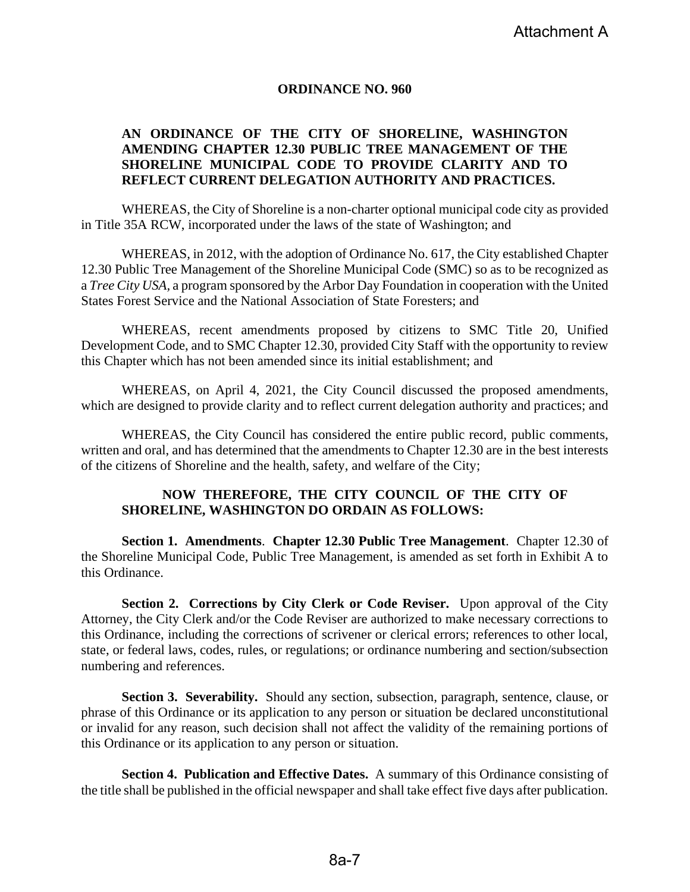#### **ORDINANCE NO. 960**

#### **AN ORDINANCE OF THE CITY OF SHORELINE, WASHINGTON AMENDING CHAPTER 12.30 PUBLIC TREE MANAGEMENT OF THE SHORELINE MUNICIPAL CODE TO PROVIDE CLARITY AND TO REFLECT CURRENT DELEGATION AUTHORITY AND PRACTICES.**

WHEREAS, the City of Shoreline is a non-charter optional municipal code city as provided in Title 35A RCW, incorporated under the laws of the state of Washington; and

WHEREAS, in 2012, with the adoption of Ordinance No. 617, the City established Chapter 12.30 Public Tree Management of the Shoreline Municipal Code (SMC) so as to be recognized as a *Tree City USA,* a program sponsored by the Arbor Day Foundation in cooperation with the United States Forest Service and the National Association of State Foresters; and

WHEREAS, recent amendments proposed by citizens to SMC Title 20, Unified Development Code, and to SMC Chapter 12.30, provided City Staff with the opportunity to review this Chapter which has not been amended since its initial establishment; and

WHEREAS, on April 4, 2021, the City Council discussed the proposed amendments, which are designed to provide clarity and to reflect current delegation authority and practices; and

WHEREAS, the City Council has considered the entire public record, public comments, written and oral, and has determined that the amendments to Chapter 12.30 are in the best interests of the citizens of Shoreline and the health, safety, and welfare of the City;

#### **NOW THEREFORE, THE CITY COUNCIL OF THE CITY OF SHORELINE, WASHINGTON DO ORDAIN AS FOLLOWS:**

**Section 1. Amendments**. **Chapter 12.30 Public Tree Management**. Chapter 12.30 of the Shoreline Municipal Code, Public Tree Management, is amended as set forth in Exhibit A to this Ordinance.

**Section 2. Corrections by City Clerk or Code Reviser.** Upon approval of the City Attorney, the City Clerk and/or the Code Reviser are authorized to make necessary corrections to this Ordinance, including the corrections of scrivener or clerical errors; references to other local, state, or federal laws, codes, rules, or regulations; or ordinance numbering and section/subsection numbering and references.

**Section 3. Severability.** Should any section, subsection, paragraph, sentence, clause, or phrase of this Ordinance or its application to any person or situation be declared unconstitutional or invalid for any reason, such decision shall not affect the validity of the remaining portions of this Ordinance or its application to any person or situation.

**Section 4. Publication and Effective Dates.** A summary of this Ordinance consisting of the title shall be published in the official newspaper and shall take effect five days after publication.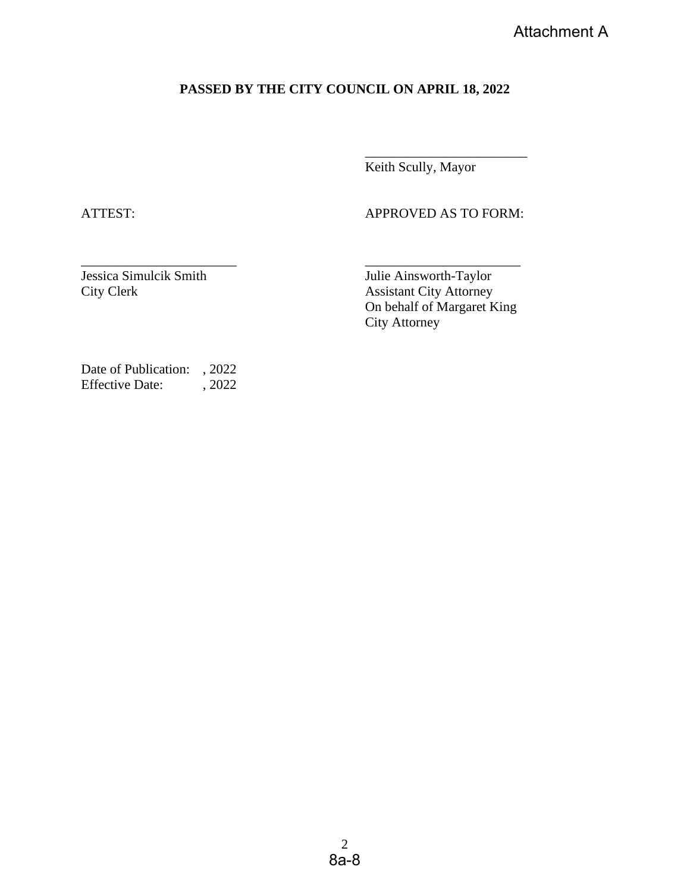## **PASSED BY THE CITY COUNCIL ON APRIL 18, 2022**

Keith Scully, Mayor

ATTEST: APPROVED AS TO FORM:

\_\_\_\_\_\_\_\_\_\_\_\_\_\_\_\_\_\_\_\_\_\_\_\_

 $\overline{\phantom{a}}$  , and the contract of the contract of the contract of the contract of the contract of the contract of the contract of the contract of the contract of the contract of the contract of the contract of the contrac Jessica Simulcik Smith Julie Ainsworth-Taylor

City Clerk Assistant City Attorney On behalf of Margaret King City Attorney

Date of Publication: , 2022 Effective Date: , 2022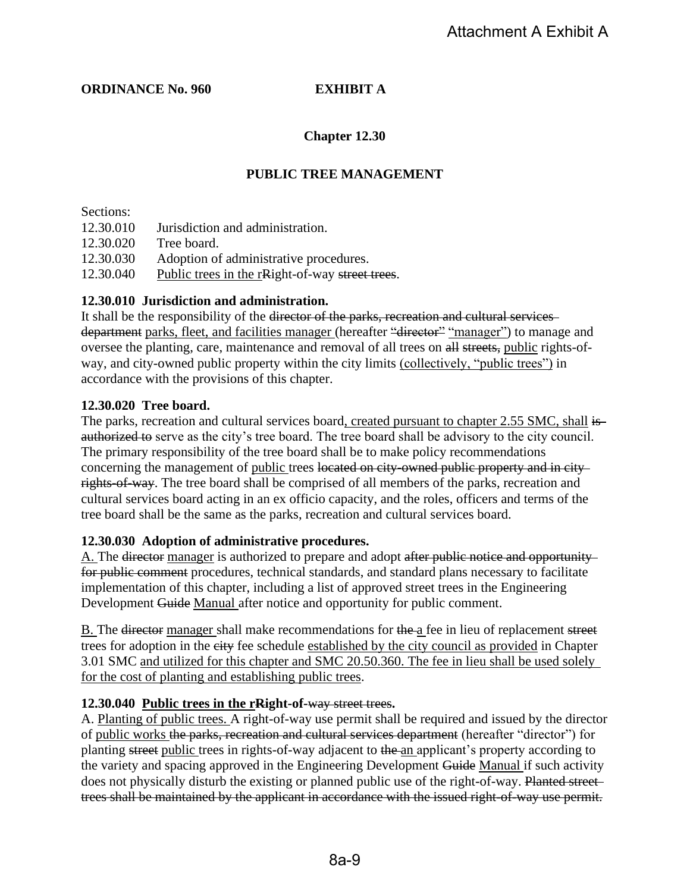#### **ORDINANCE No. 960 EXHIBIT A**

### **Chapter 12.30**

### **PUBLIC TREE MANAGEMENT**

Sections:

12.30.010 Jurisdiction and administration.

12.30.020 Tree board.

12.30.030 Adoption of administrative procedures.

12.30.040 Public trees in the rRight-of-way street trees.

#### **12.30.010 Jurisdiction and administration.**

It shall be the responsibility of the director of the parks, recreation and cultural services department parks, fleet, and facilities manager (hereafter "director" "manager") to manage and oversee the planting, care, maintenance and removal of all trees on all streets, public rights-ofway, and city-owned public property within the city limits (collectively, "public trees") in accordance with the provisions of this chapter.

#### **12.30.020 Tree board.**

The parks, recreation and cultural services board, created pursuant to chapter 2.55 SMC, shall isauthorized to serve as the city's tree board. The tree board shall be advisory to the city council. The primary responsibility of the tree board shall be to make policy recommendations concerning the management of public trees located on city-owned public property and in cityrights-of-way. The tree board shall be comprised of all members of the parks, recreation and cultural services board acting in an ex officio capacity, and the roles, officers and terms of the tree board shall be the same as the parks, recreation and cultural services board.

#### **12.30.030 Adoption of administrative procedures.**

A. The director manager is authorized to prepare and adopt after public notice and opportunity for public comment procedures, technical standards, and standard plans necessary to facilitate implementation of this chapter, including a list of approved street trees in the Engineering Development Guide Manual after notice and opportunity for public comment.

B. The <del>director</del> manager shall make recommendations for the a fee in lieu of replacement street trees for adoption in the city fee schedule established by the city council as provided in Chapter 3.01 SMC and utilized for this chapter and SMC 20.50.360. The fee in lieu shall be used solely for the cost of planting and establishing public trees.

#### **12.30.040 Public trees in the rRight-of-**way street trees**.**

A. Planting of public trees. A right-of-way use permit shall be required and issued by the director of public works the parks, recreation and cultural services department (hereafter "director") for planting street public trees in rights-of-way adjacent to the an applicant's property according to the variety and spacing approved in the Engineering Development Guide Manual if such activity does not physically disturb the existing or planned public use of the right-of-way. Planted street trees shall be maintained by the applicant in accordance with the issued right-of-way use permit.